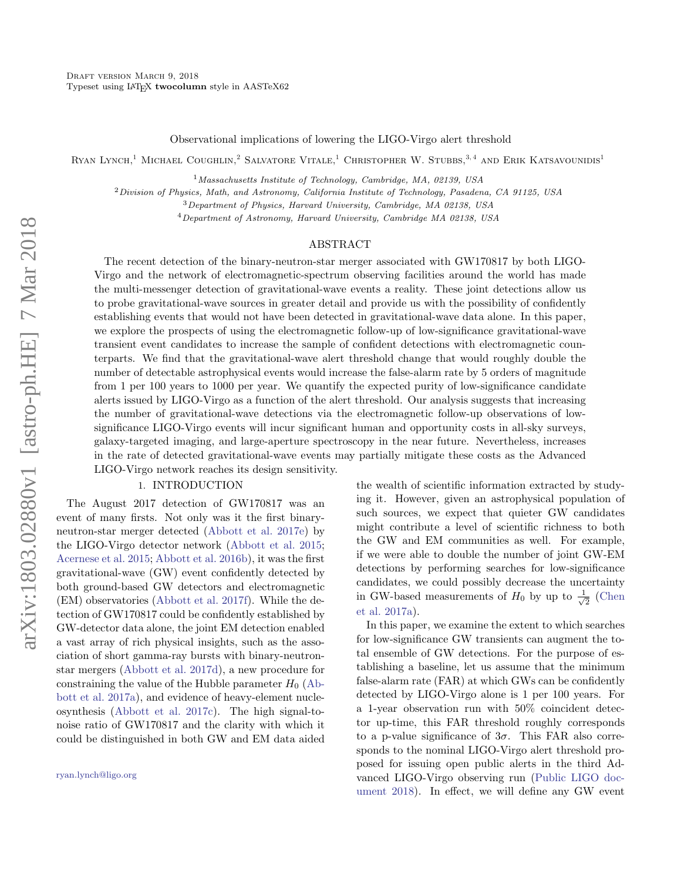Observational implications of lowering the LIGO-Virgo alert threshold

RYAN LYNCH,<sup>1</sup> MICHAEL COUGHLIN,<sup>2</sup> SALVATORE VITALE,<sup>1</sup> CHRISTOPHER W. STUBBS,<sup>3,4</sup> AND ERIK KATSAVOUNIDIS<sup>1</sup>

 $1$ Massachusetts Institute of Technology, Cambridge, MA, 02139, USA

 $2$ Division of Physics, Math, and Astronomy, California Institute of Technology, Pasadena, CA 91125, USA

<sup>3</sup>Department of Physics, Harvard University, Cambridge, MA 02138, USA

 $^{4}$ Department of Astronomy, Harvard University, Cambridge MA 02138, USA

## ABSTRACT

The recent detection of the binary-neutron-star merger associated with GW170817 by both LIGO-Virgo and the network of electromagnetic-spectrum observing facilities around the world has made the multi-messenger detection of gravitational-wave events a reality. These joint detections allow us to probe gravitational-wave sources in greater detail and provide us with the possibility of confidently establishing events that would not have been detected in gravitational-wave data alone. In this paper, we explore the prospects of using the electromagnetic follow-up of low-significance gravitational-wave transient event candidates to increase the sample of confident detections with electromagnetic counterparts. We find that the gravitational-wave alert threshold change that would roughly double the number of detectable astrophysical events would increase the false-alarm rate by 5 orders of magnitude from 1 per 100 years to 1000 per year. We quantify the expected purity of low-significance candidate alerts issued by LIGO-Virgo as a function of the alert threshold. Our analysis suggests that increasing the number of gravitational-wave detections via the electromagnetic follow-up observations of lowsignificance LIGO-Virgo events will incur significant human and opportunity costs in all-sky surveys, galaxy-targeted imaging, and large-aperture spectroscopy in the near future. Nevertheless, increases in the rate of detected gravitational-wave events may partially mitigate these costs as the Advanced LIGO-Virgo network reaches its design sensitivity.

#### 1. INTRODUCTION

The August 2017 detection of GW170817 was an event of many firsts. Not only was it the first binaryneutron-star merger detected [\(Abbott et al.](#page-7-0) [2017e\)](#page-7-0) by the LIGO-Virgo detector network [\(Abbott et al.](#page-7-1) [2015;](#page-7-1) [Acernese et al.](#page-7-2) [2015;](#page-7-2) [Abbott et al.](#page-7-3) [2016b\)](#page-7-3), it was the first gravitational-wave (GW) event confidently detected by both ground-based GW detectors and electromagnetic (EM) observatories [\(Abbott et al.](#page-7-4) [2017f\)](#page-7-4). While the detection of GW170817 could be confidently established by GW-detector data alone, the joint EM detection enabled a vast array of rich physical insights, such as the association of short gamma-ray bursts with binary-neutronstar mergers [\(Abbott et al.](#page-7-5) [2017d\)](#page-7-5), a new procedure for constraining the value of the Hubble parameter  $H_0$  [\(Ab](#page-7-6)[bott et al.](#page-7-6) [2017a\)](#page-7-6), and evidence of heavy-element nucleosynthesis [\(Abbott et al.](#page-7-7) [2017c\)](#page-7-7). The high signal-tonoise ratio of GW170817 and the clarity with which it could be distinguished in both GW and EM data aided the wealth of scientific information extracted by studying it. However, given an astrophysical population of such sources, we expect that quieter GW candidates might contribute a level of scientific richness to both the GW and EM communities as well. For example, if we were able to double the number of joint GW-EM detections by performing searches for low-significance candidates, we could possibly decrease the uncertainty in GW-based measurements of  $H_0$  by up to  $\frac{1}{\sqrt{2}}$  $\frac{1}{2}$  [\(Chen](#page-7-8) [et al.](#page-7-8) [2017a\)](#page-7-8).

In this paper, we examine the extent to which searches for low-significance GW transients can augment the total ensemble of GW detections. For the purpose of establishing a baseline, let us assume that the minimum false-alarm rate (FAR) at which GWs can be confidently detected by LIGO-Virgo alone is 1 per 100 years. For a 1-year observation run with 50% coincident detector up-time, this FAR threshold roughly corresponds to a p-value significance of  $3\sigma$ . This FAR also corresponds to the nominal LIGO-Virgo alert threshold proposed for issuing open public alerts in the third Advanced LIGO-Virgo observing run [\(Public LIGO doc](#page-7-9)[ument](#page-7-9) [2018\)](#page-7-9). In effect, we will define any GW event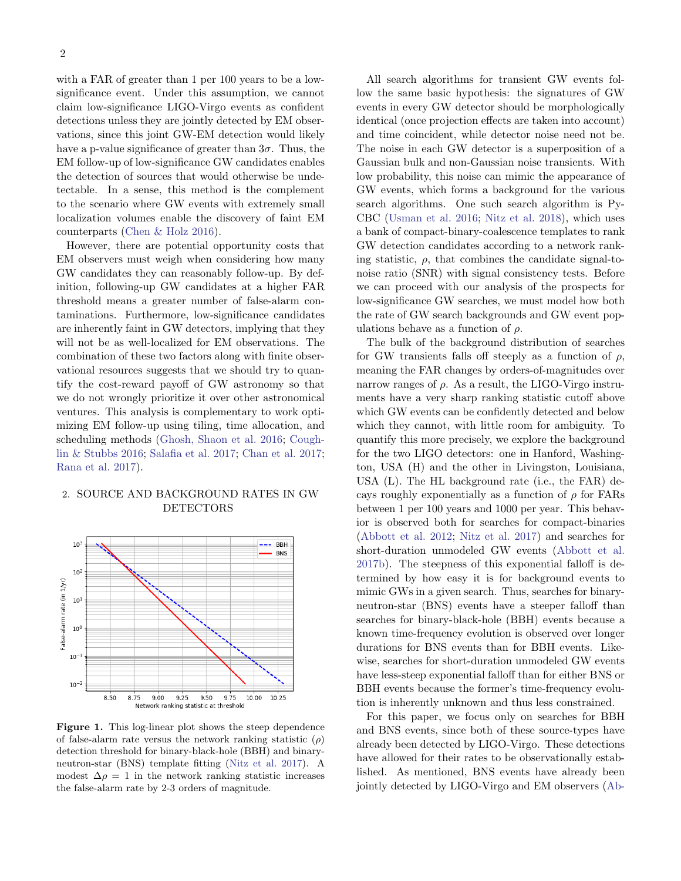with a FAR of greater than 1 per 100 years to be a lowsignificance event. Under this assumption, we cannot claim low-significance LIGO-Virgo events as confident detections unless they are jointly detected by EM observations, since this joint GW-EM detection would likely have a p-value significance of greater than  $3\sigma$ . Thus, the EM follow-up of low-significance GW candidates enables the detection of sources that would otherwise be undetectable. In a sense, this method is the complement to the scenario where GW events with extremely small localization volumes enable the discovery of faint EM counterparts [\(Chen & Holz](#page-7-10) [2016\)](#page-7-10).

However, there are potential opportunity costs that EM observers must weigh when considering how many GW candidates they can reasonably follow-up. By definition, following-up GW candidates at a higher FAR threshold means a greater number of false-alarm contaminations. Furthermore, low-significance candidates are inherently faint in GW detectors, implying that they will not be as well-localized for EM observations. The combination of these two factors along with finite observational resources suggests that we should try to quantify the cost-reward payoff of GW astronomy so that we do not wrongly prioritize it over other astronomical ventures. This analysis is complementary to work optimizing EM follow-up using tiling, time allocation, and scheduling methods [\(Ghosh, Shaon et al.](#page-7-11) [2016;](#page-7-11) [Cough](#page-7-12)[lin & Stubbs](#page-7-12) [2016;](#page-7-12) [Salafia et al.](#page-7-13) [2017;](#page-7-13) [Chan et al.](#page-7-14) [2017;](#page-7-14) [Rana et al.](#page-7-15) [2017\)](#page-7-15).

# 2. SOURCE AND BACKGROUND RATES IN GW DETECTORS



<span id="page-1-0"></span>Figure 1. This log-linear plot shows the steep dependence of false-alarm rate versus the network ranking statistic  $(\rho)$ detection threshold for binary-black-hole (BBH) and binaryneutron-star (BNS) template fitting [\(Nitz et al.](#page-7-16) [2017\)](#page-7-16). A modest  $\Delta \rho = 1$  in the network ranking statistic increases the false-alarm rate by 2-3 orders of magnitude.

All search algorithms for transient GW events follow the same basic hypothesis: the signatures of GW events in every GW detector should be morphologically identical (once projection effects are taken into account) and time coincident, while detector noise need not be. The noise in each GW detector is a superposition of a Gaussian bulk and non-Gaussian noise transients. With low probability, this noise can mimic the appearance of GW events, which forms a background for the various search algorithms. One such search algorithm is Py-CBC [\(Usman et al.](#page-7-17) [2016;](#page-7-17) [Nitz et al.](#page-7-18) [2018\)](#page-7-18), which uses a bank of compact-binary-coalescence templates to rank GW detection candidates according to a network ranking statistic,  $\rho$ , that combines the candidate signal-tonoise ratio (SNR) with signal consistency tests. Before we can proceed with our analysis of the prospects for low-significance GW searches, we must model how both the rate of GW search backgrounds and GW event populations behave as a function of  $\rho$ .

The bulk of the background distribution of searches for GW transients falls off steeply as a function of  $\rho$ , meaning the FAR changes by orders-of-magnitudes over narrow ranges of  $\rho$ . As a result, the LIGO-Virgo instruments have a very sharp ranking statistic cutoff above which GW events can be confidently detected and below which they cannot, with little room for ambiguity. To quantify this more precisely, we explore the background for the two LIGO detectors: one in Hanford, Washington, USA (H) and the other in Livingston, Louisiana, USA (L). The HL background rate (i.e., the FAR) decays roughly exponentially as a function of  $\rho$  for FARs between 1 per 100 years and 1000 per year. This behavior is observed both for searches for compact-binaries [\(Abbott et al.](#page-7-19) [2012;](#page-7-19) [Nitz et al.](#page-7-16) [2017\)](#page-7-16) and searches for short-duration unmodeled GW events [\(Abbott et al.](#page-7-20) [2017b\)](#page-7-20). The steepness of this exponential falloff is determined by how easy it is for background events to mimic GWs in a given search. Thus, searches for binaryneutron-star (BNS) events have a steeper falloff than searches for binary-black-hole (BBH) events because a known time-frequency evolution is observed over longer durations for BNS events than for BBH events. Likewise, searches for short-duration unmodeled GW events have less-steep exponential falloff than for either BNS or BBH events because the former's time-frequency evolution is inherently unknown and thus less constrained.

For this paper, we focus only on searches for BBH and BNS events, since both of these source-types have already been detected by LIGO-Virgo. These detections have allowed for their rates to be observationally established. As mentioned, BNS events have already been jointly detected by LIGO-Virgo and EM observers [\(Ab-](#page-7-4)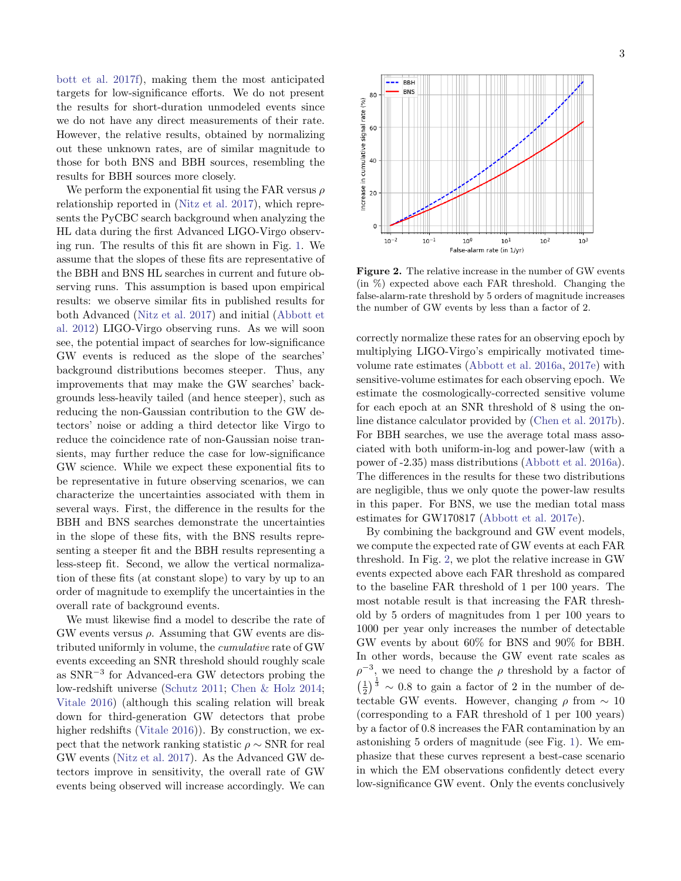[bott et al.](#page-7-4) [2017f\)](#page-7-4), making them the most anticipated targets for low-significance efforts. We do not present the results for short-duration unmodeled events since we do not have any direct measurements of their rate. However, the relative results, obtained by normalizing out these unknown rates, are of similar magnitude to those for both BNS and BBH sources, resembling the results for BBH sources more closely.

We perform the exponential fit using the FAR versus  $\rho$ relationship reported in [\(Nitz et al.](#page-7-16) [2017\)](#page-7-16), which represents the PyCBC search background when analyzing the HL data during the first Advanced LIGO-Virgo observing run. The results of this fit are shown in Fig. [1.](#page-1-0) We assume that the slopes of these fits are representative of the BBH and BNS HL searches in current and future observing runs. This assumption is based upon empirical results: we observe similar fits in published results for both Advanced [\(Nitz et al.](#page-7-16) [2017\)](#page-7-16) and initial [\(Abbott et](#page-7-19) [al.](#page-7-19) [2012\)](#page-7-19) LIGO-Virgo observing runs. As we will soon see, the potential impact of searches for low-significance GW events is reduced as the slope of the searches' background distributions becomes steeper. Thus, any improvements that may make the GW searches' backgrounds less-heavily tailed (and hence steeper), such as reducing the non-Gaussian contribution to the GW detectors' noise or adding a third detector like Virgo to reduce the coincidence rate of non-Gaussian noise transients, may further reduce the case for low-significance GW science. While we expect these exponential fits to be representative in future observing scenarios, we can characterize the uncertainties associated with them in several ways. First, the difference in the results for the BBH and BNS searches demonstrate the uncertainties in the slope of these fits, with the BNS results representing a steeper fit and the BBH results representing a less-steep fit. Second, we allow the vertical normalization of these fits (at constant slope) to vary by up to an order of magnitude to exemplify the uncertainties in the overall rate of background events.

We must likewise find a model to describe the rate of  $GW$  events versus  $\rho$ . Assuming that GW events are distributed uniformly in volume, the cumulative rate of GW events exceeding an SNR threshold should roughly scale as SNR<sup>−</sup><sup>3</sup> for Advanced-era GW detectors probing the low-redshift universe [\(Schutz](#page-7-21) [2011;](#page-7-21) [Chen & Holz](#page-7-22) [2014;](#page-7-22) [Vitale](#page-7-23) [2016\)](#page-7-23) (although this scaling relation will break down for third-generation GW detectors that probe higher redshifts [\(Vitale](#page-7-23) [2016\)](#page-7-23)). By construction, we expect that the network ranking statistic  $\rho \sim \text{SNR}$  for real GW events [\(Nitz et al.](#page-7-16) [2017\)](#page-7-16). As the Advanced GW detectors improve in sensitivity, the overall rate of GW events being observed will increase accordingly. We can



<span id="page-2-0"></span>Figure 2. The relative increase in the number of GW events (in %) expected above each FAR threshold. Changing the false-alarm-rate threshold by 5 orders of magnitude increases the number of GW events by less than a factor of 2.

correctly normalize these rates for an observing epoch by multiplying LIGO-Virgo's empirically motivated timevolume rate estimates [\(Abbott et al.](#page-7-24) [2016a,](#page-7-24) [2017e\)](#page-7-0) with sensitive-volume estimates for each observing epoch. We estimate the cosmologically-corrected sensitive volume for each epoch at an SNR threshold of 8 using the online distance calculator provided by [\(Chen et al.](#page-7-25) [2017b\)](#page-7-25). For BBH searches, we use the average total mass associated with both uniform-in-log and power-law (with a power of -2.35) mass distributions [\(Abbott et al.](#page-7-24) [2016a\)](#page-7-24). The differences in the results for these two distributions are negligible, thus we only quote the power-law results in this paper. For BNS, we use the median total mass estimates for GW170817 [\(Abbott et al.](#page-7-0) [2017e\)](#page-7-0).

By combining the background and GW event models, we compute the expected rate of GW events at each FAR threshold. In Fig. [2,](#page-2-0) we plot the relative increase in GW events expected above each FAR threshold as compared to the baseline FAR threshold of 1 per 100 years. The most notable result is that increasing the FAR threshold by 5 orders of magnitudes from 1 per 100 years to 1000 per year only increases the number of detectable GW events by about 60% for BNS and 90% for BBH. In other words, because the GW event rate scales as  $\rho^{-3}$ , we need to change the  $\rho$  threshold by a factor of  $\left(\frac{1}{2}\right)^{\frac{1}{3}} \sim 0.8$  to gain a factor of 2 in the number of detectable GW events. However, changing  $\rho$  from  $\sim 10$ (corresponding to a FAR threshold of 1 per 100 years) by a factor of 0.8 increases the FAR contamination by an astonishing 5 orders of magnitude (see Fig. [1\)](#page-1-0). We emphasize that these curves represent a best-case scenario in which the EM observations confidently detect every low-significance GW event. Only the events conclusively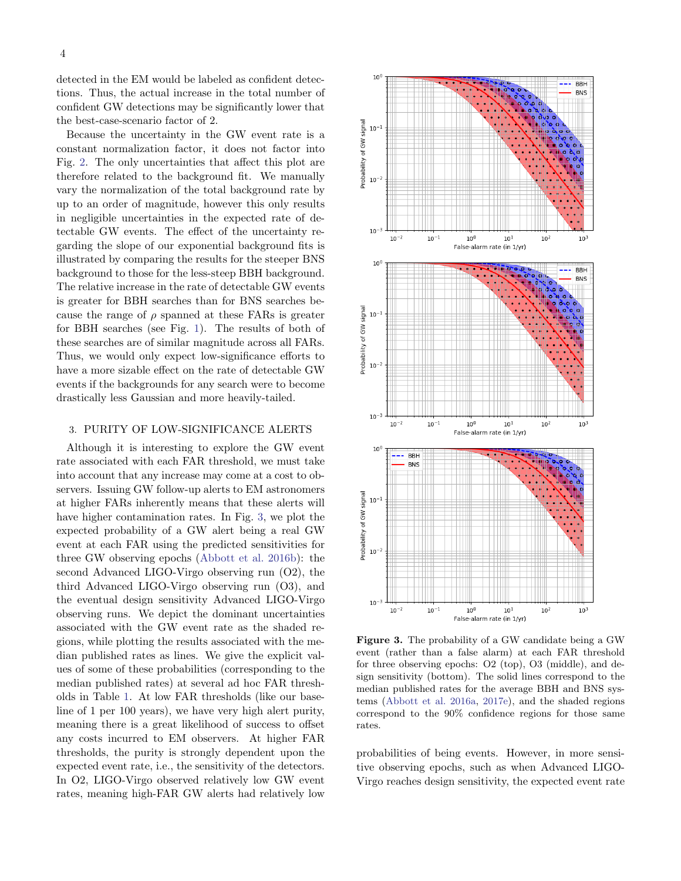detected in the EM would be labeled as confident detections. Thus, the actual increase in the total number of confident GW detections may be significantly lower that the best-case-scenario factor of 2.

Because the uncertainty in the GW event rate is a constant normalization factor, it does not factor into Fig. [2.](#page-2-0) The only uncertainties that affect this plot are therefore related to the background fit. We manually vary the normalization of the total background rate by up to an order of magnitude, however this only results in negligible uncertainties in the expected rate of detectable GW events. The effect of the uncertainty regarding the slope of our exponential background fits is illustrated by comparing the results for the steeper BNS background to those for the less-steep BBH background. The relative increase in the rate of detectable GW events is greater for BBH searches than for BNS searches because the range of  $\rho$  spanned at these FARs is greater for BBH searches (see Fig. [1\)](#page-1-0). The results of both of these searches are of similar magnitude across all FARs. Thus, we would only expect low-significance efforts to have a more sizable effect on the rate of detectable GW events if the backgrounds for any search were to become drastically less Gaussian and more heavily-tailed.

#### <span id="page-3-1"></span>3. PURITY OF LOW-SIGNIFICANCE ALERTS

Although it is interesting to explore the GW event rate associated with each FAR threshold, we must take into account that any increase may come at a cost to observers. Issuing GW follow-up alerts to EM astronomers at higher FARs inherently means that these alerts will have higher contamination rates. In Fig. [3,](#page-3-0) we plot the expected probability of a GW alert being a real GW event at each FAR using the predicted sensitivities for three GW observing epochs [\(Abbott et al.](#page-7-3) [2016b\)](#page-7-3): the second Advanced LIGO-Virgo observing run (O2), the third Advanced LIGO-Virgo observing run (O3), and the eventual design sensitivity Advanced LIGO-Virgo observing runs. We depict the dominant uncertainties associated with the GW event rate as the shaded regions, while plotting the results associated with the median published rates as lines. We give the explicit values of some of these probabilities (corresponding to the median published rates) at several ad hoc FAR thresholds in Table [1.](#page-4-0) At low FAR thresholds (like our baseline of 1 per 100 years), we have very high alert purity, meaning there is a great likelihood of success to offset any costs incurred to EM observers. At higher FAR thresholds, the purity is strongly dependent upon the expected event rate, i.e., the sensitivity of the detectors. In O2, LIGO-Virgo observed relatively low GW event rates, meaning high-FAR GW alerts had relatively low



<span id="page-3-0"></span>Figure 3. The probability of a GW candidate being a GW event (rather than a false alarm) at each FAR threshold for three observing epochs: O2 (top), O3 (middle), and design sensitivity (bottom). The solid lines correspond to the median published rates for the average BBH and BNS systems [\(Abbott et al.](#page-7-24) [2016a,](#page-7-24) [2017e\)](#page-7-0), and the shaded regions correspond to the 90% confidence regions for those same rates.

probabilities of being events. However, in more sensitive observing epochs, such as when Advanced LIGO-Virgo reaches design sensitivity, the expected event rate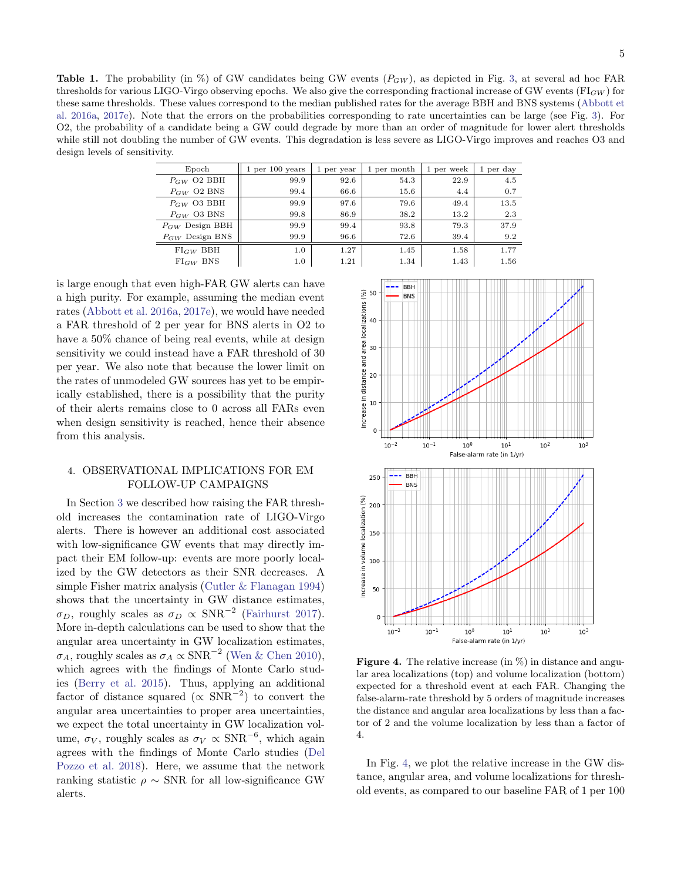<span id="page-4-0"></span>**Table 1.** The probability (in  $\%$ ) of GW candidates being GW events  $(P_{GW})$ , as depicted in Fig. [3,](#page-3-0) at several ad hoc FAR thresholds for various LIGO-Virgo observing epochs. We also give the corresponding fractional increase of GW events ( $FI_{GW}$ ) for these same thresholds. These values correspond to the median published rates for the average BBH and BNS systems [\(Abbott et](#page-7-24) [al.](#page-7-24) [2016a,](#page-7-24) [2017e\)](#page-7-0). Note that the errors on the probabilities corresponding to rate uncertainties can be large (see Fig. [3\)](#page-3-0). For O2, the probability of a candidate being a GW could degrade by more than an order of magnitude for lower alert thresholds while still not doubling the number of GW events. This degradation is less severe as LIGO-Virgo improves and reaches O3 and design levels of sensitivity.

| Epoch               | 1 <sub>per</sub> 100 <sub>years</sub> | per year<br>1 | 1 per month | 1 per week | 1 per day |
|---------------------|---------------------------------------|---------------|-------------|------------|-----------|
| $P_{GW}$ O2 BBH     | 99.9                                  | 92.6          | 54.3        | 22.9       | 4.5       |
| $P_{GW}$ O2 BNS     | 99.4                                  | 66.6          | 15.6        | 4.4        | 0.7       |
| $P_{GW}$ O3 BBH     | 99.9                                  | 97.6          | 79.6        | 49.4       | 13.5      |
| $P_{GW}$ O3 BNS     | 99.8                                  | 86.9          | 38.2        | 13.2       | 2.3       |
| $P_{GW}$ Design BBH | 99.9                                  | 99.4          | 93.8        | 79.3       | 37.9      |
| $P_{GW}$ Design BNS | 99.9                                  | 96.6          | 72.6        | 39.4       | 9.2       |
| $FI_{GW}$ BBH       | 1.0                                   | 1.27          | 1.45        | 1.58       | 1.77      |
| $FI_{GW}$ BNS       | 1.0                                   | 1.21          | 1.34        | 1.43       | 1.56      |
|                     |                                       |               |             |            |           |

is large enough that even high-FAR GW alerts can have a high purity. For example, assuming the median event rates [\(Abbott et al.](#page-7-24) [2016a,](#page-7-24) [2017e\)](#page-7-0), we would have needed a FAR threshold of 2 per year for BNS alerts in O2 to have a  $50\%$  chance of being real events, while at design sensitivity we could instead have a FAR threshold of 30 per year. We also note that because the lower limit on the rates of unmodeled GW sources has yet to be empirically established, there is a possibility that the purity of their alerts remains close to 0 across all FARs even when design sensitivity is reached, hence their absence from this analysis.

## 4. OBSERVATIONAL IMPLICATIONS FOR EM FOLLOW-UP CAMPAIGNS

In Section [3](#page-3-1) we described how raising the FAR threshold increases the contamination rate of LIGO-Virgo alerts. There is however an additional cost associated with low-significance GW events that may directly impact their EM follow-up: events are more poorly localized by the GW detectors as their SNR decreases. A simple Fisher matrix analysis [\(Cutler & Flanagan](#page-7-26) [1994\)](#page-7-26) shows that the uncertainty in GW distance estimates,  $\sigma_D$ , roughly scales as  $\sigma_D \propto \text{SNR}^{-2}$  [\(Fairhurst](#page-7-27) [2017\)](#page-7-27). More in-depth calculations can be used to show that the angular area uncertainty in GW localization estimates,  $\sigma_A$ , roughly scales as  $\sigma_A \propto \text{SNR}^{-2}$  [\(Wen & Chen](#page-7-28) [2010\)](#page-7-28), which agrees with the findings of Monte Carlo studies [\(Berry et al.](#page-7-29) [2015\)](#page-7-29). Thus, applying an additional factor of distance squared ( $\propto$  SNR<sup>-2</sup>) to convert the angular area uncertainties to proper area uncertainties, we expect the total uncertainty in GW localization volume,  $\sigma_V$ , roughly scales as  $\sigma_V \propto \text{SNR}^{-6}$ , which again agrees with the findings of Monte Carlo studies [\(Del](#page-7-30) [Pozzo et al.](#page-7-30) [2018\)](#page-7-30). Here, we assume that the network ranking statistic  $\rho \sim$  SNR for all low-significance GW alerts.



<span id="page-4-1"></span>**Figure 4.** The relative increase (in  $\%$ ) in distance and angular area localizations (top) and volume localization (bottom) expected for a threshold event at each FAR. Changing the false-alarm-rate threshold by 5 orders of magnitude increases the distance and angular area localizations by less than a factor of 2 and the volume localization by less than a factor of 4.

In Fig. [4,](#page-4-1) we plot the relative increase in the GW distance, angular area, and volume localizations for threshold events, as compared to our baseline FAR of 1 per 100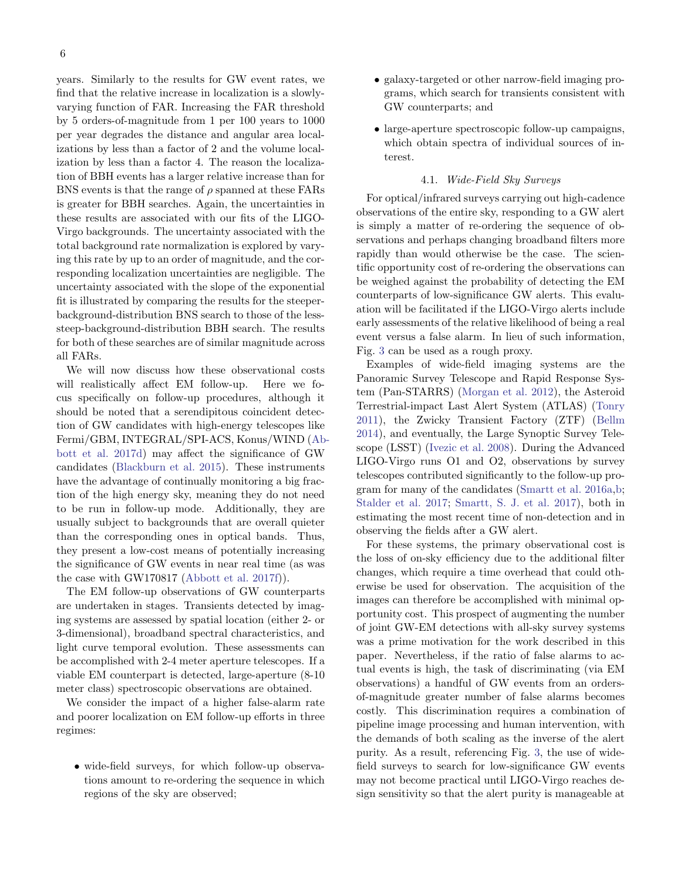years. Similarly to the results for GW event rates, we find that the relative increase in localization is a slowlyvarying function of FAR. Increasing the FAR threshold by 5 orders-of-magnitude from 1 per 100 years to 1000 per year degrades the distance and angular area localizations by less than a factor of 2 and the volume localization by less than a factor 4. The reason the localization of BBH events has a larger relative increase than for BNS events is that the range of  $\rho$  spanned at these FARs is greater for BBH searches. Again, the uncertainties in these results are associated with our fits of the LIGO-Virgo backgrounds. The uncertainty associated with the total background rate normalization is explored by varying this rate by up to an order of magnitude, and the corresponding localization uncertainties are negligible. The uncertainty associated with the slope of the exponential fit is illustrated by comparing the results for the steeperbackground-distribution BNS search to those of the lesssteep-background-distribution BBH search. The results for both of these searches are of similar magnitude across all FARs.

We will now discuss how these observational costs will realistically affect EM follow-up. Here we focus specifically on follow-up procedures, although it should be noted that a serendipitous coincident detection of GW candidates with high-energy telescopes like Fermi/GBM, INTEGRAL/SPI-ACS, Konus/WIND [\(Ab](#page-7-5)[bott et al.](#page-7-5) [2017d\)](#page-7-5) may affect the significance of GW candidates [\(Blackburn et al.](#page-7-31) [2015\)](#page-7-31). These instruments have the advantage of continually monitoring a big fraction of the high energy sky, meaning they do not need to be run in follow-up mode. Additionally, they are usually subject to backgrounds that are overall quieter than the corresponding ones in optical bands. Thus, they present a low-cost means of potentially increasing the significance of GW events in near real time (as was the case with GW170817 [\(Abbott et al.](#page-7-4) [2017f\)](#page-7-4)).

The EM follow-up observations of GW counterparts are undertaken in stages. Transients detected by imaging systems are assessed by spatial location (either 2- or 3-dimensional), broadband spectral characteristics, and light curve temporal evolution. These assessments can be accomplished with 2-4 meter aperture telescopes. If a viable EM counterpart is detected, large-aperture (8-10 meter class) spectroscopic observations are obtained.

We consider the impact of a higher false-alarm rate and poorer localization on EM follow-up efforts in three regimes:

• wide-field surveys, for which follow-up observations amount to re-ordering the sequence in which regions of the sky are observed;

- galaxy-targeted or other narrow-field imaging programs, which search for transients consistent with GW counterparts; and
- large-aperture spectroscopic follow-up campaigns, which obtain spectra of individual sources of interest.

#### 4.1. Wide-Field Sky Surveys

For optical/infrared surveys carrying out high-cadence observations of the entire sky, responding to a GW alert is simply a matter of re-ordering the sequence of observations and perhaps changing broadband filters more rapidly than would otherwise be the case. The scientific opportunity cost of re-ordering the observations can be weighed against the probability of detecting the EM counterparts of low-significance GW alerts. This evaluation will be facilitated if the LIGO-Virgo alerts include early assessments of the relative likelihood of being a real event versus a false alarm. In lieu of such information, Fig. [3](#page-3-0) can be used as a rough proxy.

Examples of wide-field imaging systems are the Panoramic Survey Telescope and Rapid Response System (Pan-STARRS) [\(Morgan et al.](#page-7-32) [2012\)](#page-7-32), the Asteroid Terrestrial-impact Last Alert System (ATLAS) [\(Tonry](#page-7-33) [2011\)](#page-7-33), the Zwicky Transient Factory (ZTF) [\(Bellm](#page-7-34) [2014\)](#page-7-34), and eventually, the Large Synoptic Survey Telescope (LSST) [\(Ivezic et al.](#page-7-35) [2008\)](#page-7-35). During the Advanced LIGO-Virgo runs O1 and O2, observations by survey telescopes contributed significantly to the follow-up program for many of the candidates [\(Smartt et al.](#page-7-36) [2016a,](#page-7-36)[b;](#page-7-37) [Stalder et al.](#page-7-38) [2017;](#page-7-38) [Smartt, S. J. et al.](#page-7-39) [2017\)](#page-7-39), both in estimating the most recent time of non-detection and in observing the fields after a GW alert.

For these systems, the primary observational cost is the loss of on-sky efficiency due to the additional filter changes, which require a time overhead that could otherwise be used for observation. The acquisition of the images can therefore be accomplished with minimal opportunity cost. This prospect of augmenting the number of joint GW-EM detections with all-sky survey systems was a prime motivation for the work described in this paper. Nevertheless, if the ratio of false alarms to actual events is high, the task of discriminating (via EM observations) a handful of GW events from an ordersof-magnitude greater number of false alarms becomes costly. This discrimination requires a combination of pipeline image processing and human intervention, with the demands of both scaling as the inverse of the alert purity. As a result, referencing Fig. [3,](#page-3-0) the use of widefield surveys to search for low-significance GW events may not become practical until LIGO-Virgo reaches design sensitivity so that the alert purity is manageable at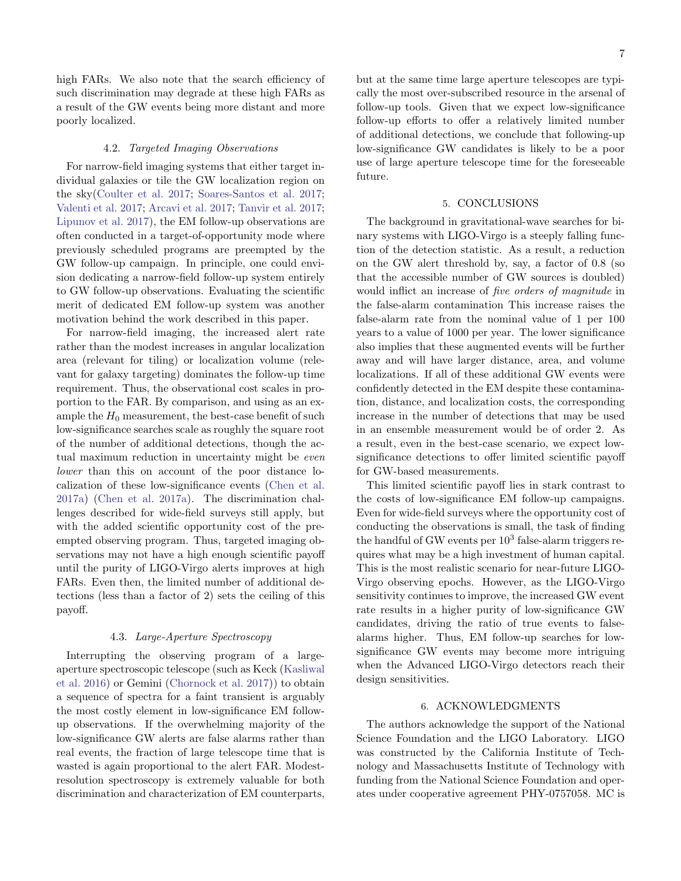high FARs. We also note that the search efficiency of such discrimination may degrade at these high FARs as a result of the GW events being more distant and more poorly localized.

#### 4.2. Targeted Imaging Observations

For narrow-field imaging systems that either target individual galaxies or tile the GW localization region on the sky[\(Coulter et al.](#page-7-40) [2017;](#page-7-40) [Soares-Santos et al.](#page-7-41) [2017;](#page-7-41) [Valenti et al.](#page-7-42) [2017;](#page-7-42) [Arcavi et al.](#page-7-43) [2017;](#page-7-43) [Tanvir et al.](#page-7-44) [2017;](#page-7-44) [Lipunov et al.](#page-7-45) [2017\)](#page-7-45), the EM follow-up observations are often conducted in a target-of-opportunity mode where previously scheduled programs are preempted by the GW follow-up campaign. In principle, one could envision dedicating a narrow-field follow-up system entirely to GW follow-up observations. Evaluating the scientific merit of dedicated EM follow-up system was another motivation behind the work described in this paper.

For narrow-field imaging, the increased alert rate rather than the modest increases in angular localization area (relevant for tiling) or localization volume (relevant for galaxy targeting) dominates the follow-up time requirement. Thus, the observational cost scales in proportion to the FAR. By comparison, and using as an example the  $H_0$  measurement, the best-case benefit of such low-significance searches scale as roughly the square root of the number of additional detections, though the actual maximum reduction in uncertainty might be even lower than this on account of the poor distance localization of these low-significance events [\(Chen et al.](#page-7-8) [2017a\)](#page-7-8) [\(Chen et al.](#page-7-8) [2017a\)](#page-7-8). The discrimination challenges described for wide-field surveys still apply, but with the added scientific opportunity cost of the preempted observing program. Thus, targeted imaging observations may not have a high enough scientific payoff until the purity of LIGO-Virgo alerts improves at high FARs. Even then, the limited number of additional detections (less than a factor of 2) sets the ceiling of this payoff.

#### 4.3. Large-Aperture Spectroscopy

Interrupting the observing program of a largeaperture spectroscopic telescope (such as Keck [\(Kasliwal](#page-7-46) [et al.](#page-7-46) [2016\)](#page-7-46) or Gemini [\(Chornock et al.](#page-7-47) [2017\)](#page-7-47)) to obtain a sequence of spectra for a faint transient is arguably the most costly element in low-significance EM followup observations. If the overwhelming majority of the low-significance GW alerts are false alarms rather than real events, the fraction of large telescope time that is wasted is again proportional to the alert FAR. Modestresolution spectroscopy is extremely valuable for both discrimination and characterization of EM counterparts,

but at the same time large aperture telescopes are typically the most over-subscribed resource in the arsenal of follow-up tools. Given that we expect low-significance follow-up efforts to offer a relatively limited number of additional detections, we conclude that following-up low-significance GW candidates is likely to be a poor use of large aperture telescope time for the foreseeable future.

#### 5. CONCLUSIONS

The background in gravitational-wave searches for binary systems with LIGO-Virgo is a steeply falling function of the detection statistic. As a result, a reduction on the GW alert threshold by, say, a factor of 0.8 (so that the accessible number of GW sources is doubled) would inflict an increase of five orders of magnitude in the false-alarm contamination This increase raises the false-alarm rate from the nominal value of 1 per 100 years to a value of 1000 per year. The lower significance also implies that these augmented events will be further away and will have larger distance, area, and volume localizations. If all of these additional GW events were confidently detected in the EM despite these contamination, distance, and localization costs, the corresponding increase in the number of detections that may be used in an ensemble measurement would be of order 2. As a result, even in the best-case scenario, we expect lowsignificance detections to offer limited scientific payoff for GW-based measurements.

This limited scientific payoff lies in stark contrast to the costs of low-significance EM follow-up campaigns. Even for wide-field surveys where the opportunity cost of conducting the observations is small, the task of finding the handful of GW events per  $10^3$  false-alarm triggers requires what may be a high investment of human capital. This is the most realistic scenario for near-future LIGO-Virgo observing epochs. However, as the LIGO-Virgo sensitivity continues to improve, the increased GW event rate results in a higher purity of low-significance GW candidates, driving the ratio of true events to falsealarms higher. Thus, EM follow-up searches for lowsignificance GW events may become more intriguing when the Advanced LIGO-Virgo detectors reach their design sensitivities.

#### 6. ACKNOWLEDGMENTS

The authors acknowledge the support of the National Science Foundation and the LIGO Laboratory. LIGO was constructed by the California Institute of Technology and Massachusetts Institute of Technology with funding from the National Science Foundation and operates under cooperative agreement PHY-0757058. MC is